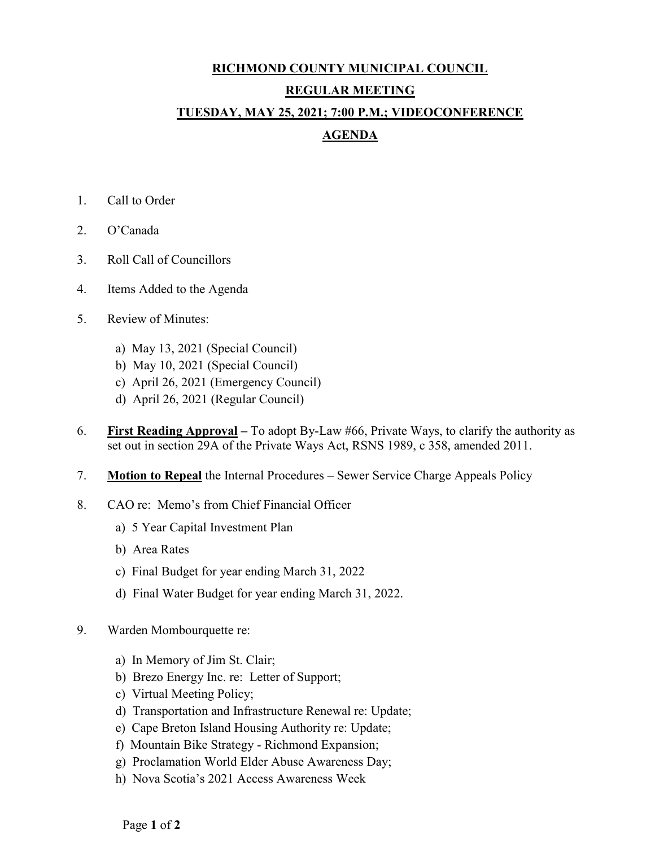## **RICHMOND COUNTY MUNICIPAL COUNCIL REGULAR MEETING TUESDAY, MAY 25, 2021; 7:00 P.M.; VIDEOCONFERENCE AGENDA**

- 1. Call to Order
- 2. O'Canada
- 3. Roll Call of Councillors
- 4. Items Added to the Agenda
- 5. Review of Minutes:
	- a) May 13, 2021 (Special Council)
	- b) May 10, 2021 (Special Council)
	- c) April 26, 2021 (Emergency Council)
	- d) April 26, 2021 (Regular Council)
- 6. **First Reading Approval –** To adopt By-Law #66, Private Ways, to clarify the authority as set out in section 29A of the Private Ways Act, RSNS 1989, c 358, amended 2011.
- 7. **Motion to Repeal** the Internal Procedures Sewer Service Charge Appeals Policy
- 8. CAO re: Memo's from Chief Financial Officer
	- a) 5 Year Capital Investment Plan
	- b) Area Rates
	- c) Final Budget for year ending March 31, 2022
	- d) Final Water Budget for year ending March 31, 2022.
- 9. Warden Mombourquette re:
	- a) In Memory of Jim St. Clair;
	- b) Brezo Energy Inc. re: Letter of Support;
	- c) Virtual Meeting Policy;
	- d) Transportation and Infrastructure Renewal re: Update;
	- e) Cape Breton Island Housing Authority re: Update;
	- f) Mountain Bike Strategy Richmond Expansion;
	- g) Proclamation World Elder Abuse Awareness Day;
	- h) Nova Scotia's 2021 Access Awareness Week